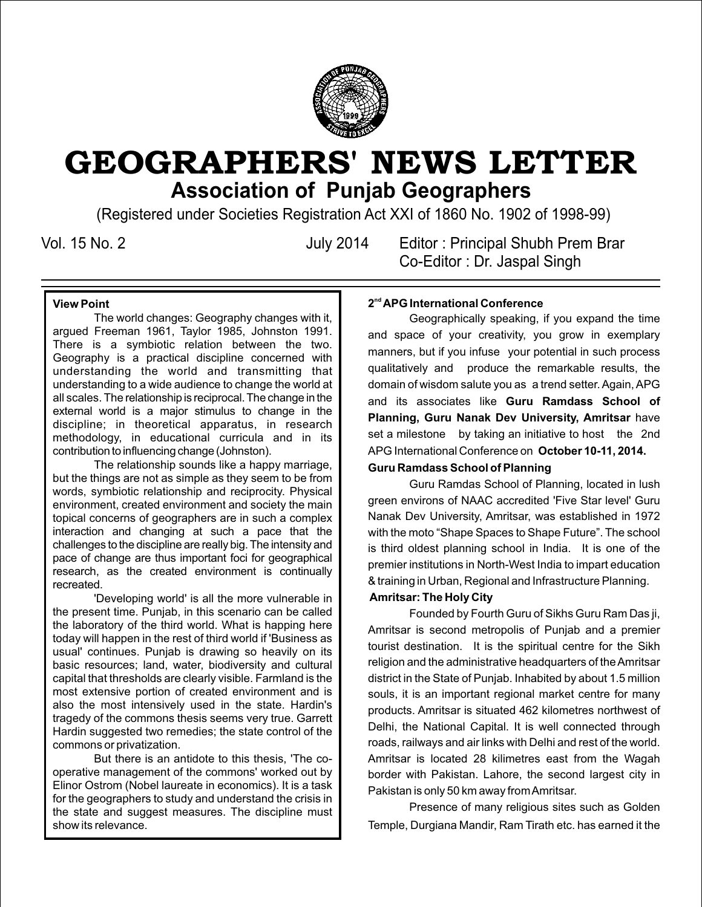

# GEOGRAPHERS' NEWS LETTER **Association of Punjab Geographers**

(Registered under Societies Registration Act XXI of 1860 No. 1902 of 1998-99)

Vol. 15 No. 2 July 2014 Editor : Principal Shubh Prem Brar Co-Editor : Dr. Jaspal Singh

### **View Point**

The world changes: Geography changes with it, argued Freeman 1961, Taylor 1985, Johnston 1991. There is a symbiotic relation between the two. Geography is a practical discipline concerned with understanding the world and transmitting that understanding to a wide audience to change the world at all scales. The relationship is reciprocal. The change in the external world is a major stimulus to change in the discipline; in theoretical apparatus, in research methodology, in educational curricula and in its contribution to influencing change (Johnston).

The relationship sounds like a happy marriage, but the things are not as simple as they seem to be from words, symbiotic relationship and reciprocity. Physical environment, created environment and society the main topical concerns of geographers are in such a complex interaction and changing at such a pace that the challenges to the discipline are really big. The intensity and pace of change are thus important foci for geographical research, as the created environment is continually recreated.

'Developing world' is all the more vulnerable in the present time. Punjab, in this scenario can be called the laboratory of the third world. What is happing here today will happen in the rest of third world if 'Business as usual' continues. Punjab is drawing so heavily on its basic resources; land, water, biodiversity and cultural capital that thresholds are clearly visible. Farmland is the most extensive portion of created environment and is also the most intensively used in the state. Hardin's tragedy of the commons thesis seems very true. Garrett Hardin suggested two remedies; the state control of the commons or privatization.

But there is an antidote to this thesis, 'The cooperative management of the commons' worked out by Elinor Ostrom (Nobel laureate in economics). It is a task for the geographers to study and understand the crisis in the state and suggest measures. The discipline must show its relevance.

#### **nd 2 APG International Conference**

Geographically speaking, if you expand the time and space of your creativity, you grow in exemplary manners, but if you infuse your potential in such process qualitatively and produce the remarkable results, the domain of wisdom salute you as a trend setter. Again, APG and its associates like **Guru Ramdass School of Planning, Guru Nanak Dev University, Amritsar** have set a milestone by taking an initiative to host the 2nd APG International Conference on **October 10-11, 2014.**

#### **Guru Ramdass School of Planning**

Guru Ramdas School of Planning, located in lush green environs of NAAC accredited 'Five Star level' Guru Nanak Dev University, Amritsar, was established in 1972 with the moto "Shape Spaces to Shape Future". The school is third oldest planning school in India. It is one of the premier institutions in North-West India to impart education & training in Urban, Regional and Infrastructure Planning.

#### **Amritsar: The Holy City**

Founded by Fourth Guru of Sikhs Guru Ram Das ji, Amritsar is second metropolis of Punjab and a premier tourist destination. It is the spiritual centre for the Sikh religion and the administrative headquarters of the Amritsar district in the State of Punjab. Inhabited by about 1.5 million souls, it is an important regional market centre for many products. Amritsar is situated 462 kilometres northwest of Delhi, the National Capital. It is well connected through roads, railways and air links with Delhi and rest of the world. Amritsar is located 28 kilimetres east from the Wagah border with Pakistan. Lahore, the second largest city in Pakistan is only 50 km away from Amritsar.

Presence of many religious sites such as Golden Temple, Durgiana Mandir, Ram Tirath etc. has earned it the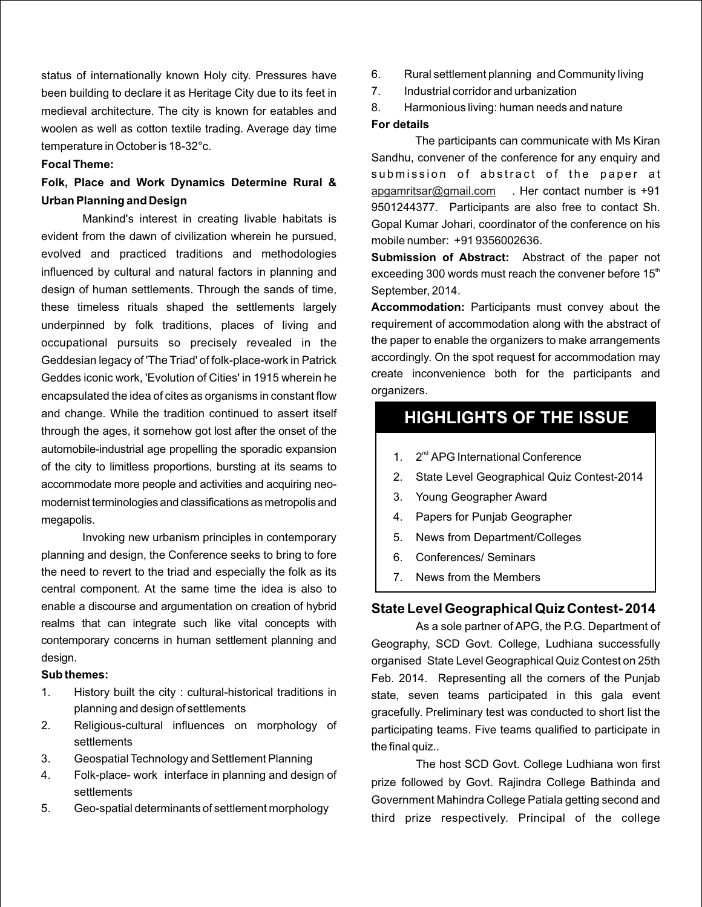status of internationally known Holy city. Pressures have been building to declare it as Heritage City due to its feet in medieval architecture. The city is known for eatables and woolen as well as cotton textile trading. Average day time temperature in October is 18-32°c.

#### **Focal Theme:**

# **Folk, Place and Work Dynamics Determine Rural & Urban Planning and Design**

Mankind's interest in creating livable habitats is evident from the dawn of civilization wherein he pursued, evolved and practiced traditions and methodologies influenced by cultural and natural factors in planning and design of human settlements. Through the sands of time, these timeless rituals shaped the settlements largely underpinned by folk traditions, places of living and occupational pursuits so precisely revealed in the Geddesian legacy of 'The Triad' of folk-place-work in Patrick Geddes iconic work, 'Evolution of Cities' in 1915 wherein he encapsulated the idea of cites as organisms in constant flow and change. While the tradition continued to assert itself through the ages, it somehow got lost after the onset of the automobile-industrial age propelling the sporadic expansion of the city to limitless proportions, bursting at its seams to accommodate more people and activities and acquiring neomodernist terminologies and classifications as metropolis and megapolis.

Invoking new urbanism principles in contemporary planning and design, the Conference seeks to bring to fore the need to revert to the triad and especially the folk as its central component. At the same time the idea is also to enable a discourse and argumentation on creation of hybrid realms that can integrate such like vital concepts with contemporary concerns in human settlement planning and design.

#### **Sub themes:**

- 1. History built the city : cultural-historical traditions in planning and design of settlements
- 2. Religious-cultural influences on morphology of settlements
- 3. Geospatial Technology and Settlement Planning
- 4. Folk-place- work interface in planning and design of settlements
- 5. Geo-spatial determinants of settlement morphology
- 6. Rural settlement planning and Community living
- 7. Industrial corridor and urbanization
- 8. Harmonious living: human needs and nature

#### **For details**

The participants can communicate with Ms Kiran Sandhu, convener of the conference for any enquiry and submission of abstract of the paper at apgamritsar@gmail.com J. Her contact number is +91 9501244377. Participants are also free to contact Sh. Gopal Kumar Johari, coordinator of the conference on his mobile number: +91 9356002636.

**Submission of Abstract:** Abstract of the paper not exceeding 300 words must reach the convener before  $15<sup>th</sup>$ September, 2014.

**Accommodation:** Participants must convey about the requirement of accommodation along with the abstract of the paper to enable the organizers to make arrangements accordingly. On the spot request for accommodation may create inconvenience both for the participants and organizers.

# **HIGHLIGHTS OF THE ISSUE**

- 1. 2<sup>nd</sup> APG International Conference
- 2. State Level Geographical Quiz Contest-2014
- 3. Young Geographer Award
- 4. Papers for Punjab Geographer
- 5. News from Department/Colleges
- 6. Conferences/ Seminars
- 7. News from the Members

#### **State Level Geographical Quiz Contest- 2014**

As a sole partner of APG, the P.G. Department of Geography, SCD Govt. College, Ludhiana successfully organised State Level Geographical Quiz Contest on 25th Feb. 2014. Representing all the corners of the Punjab state, seven teams participated in this gala event gracefully. Preliminary test was conducted to short list the participating teams. Five teams qualified to participate in the final quiz..

The host SCD Govt. College Ludhiana won first prize followed by Govt. Rajindra College Bathinda and Government Mahindra College Patiala getting second and third prize respectively. Principal of the college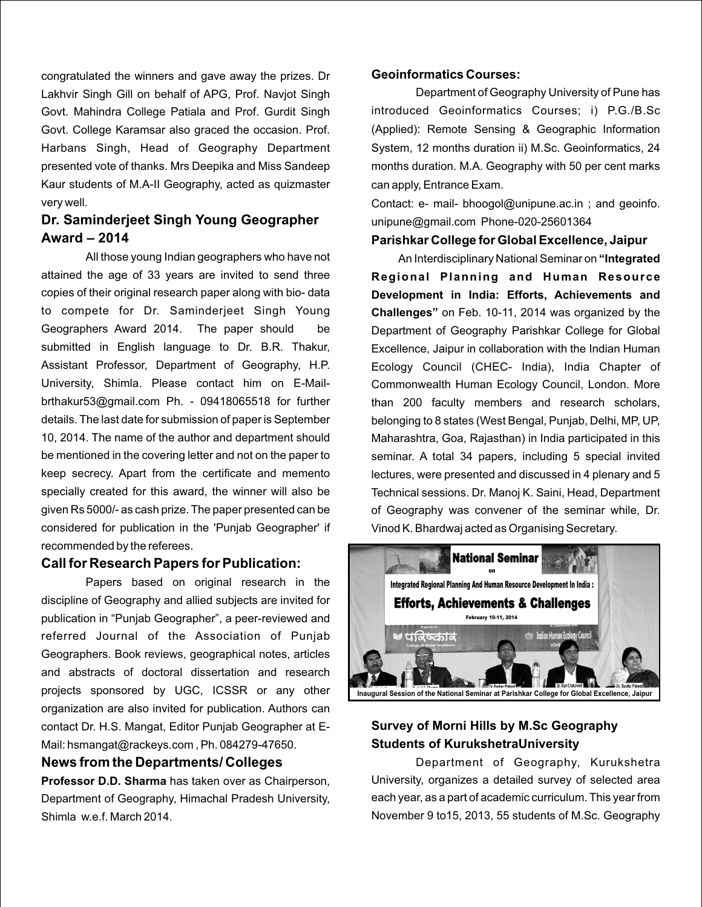congratulated the winners and gave away the prizes. Dr Lakhvir Singh Gill on behalf of APG, Prof. Navjot Singh Govt. Mahindra College Patiala and Prof. Gurdit Singh Govt. College Karamsar also graced the occasion. Prof. Harbans Singh, Head of Geography Department presented vote of thanks. Mrs Deepika and Miss Sandeep Kaur students of M.A-II Geography, acted as quizmaster very well.

# **Dr. Saminderjeet Singh Young Geographer Award – 2014**

All those young Indian geographers who have not attained the age of 33 years are invited to send three copies of their original research paper along with bio- data to compete for Dr. Saminderjeet Singh Young Geographers Award 2014. The paper should be submitted in English language to Dr. B.R. Thakur, Assistant Professor, Department of Geography, H.P. University, Shimla. Please contact him on E-Mailbrthakur53@gmail.com Ph. - 09418065518 for further details. The last date for submission of paper is September 10, 2014. The name of the author and department should be mentioned in the covering letter and not on the paper to keep secrecy. Apart from the certificate and memento specially created for this award, the winner will also be given Rs 5000/- as cash prize. The paper presented can be considered for publication in the 'Punjab Geographer' if recommended by the referees.

#### **Call for Research Papers for Publication:**

Papers based on original research in the discipline of Geography and allied subjects are invited for publication in "Punjab Geographer", a peer-reviewed and referred Journal of the Association of Punjab Geographers. Book reviews, geographical notes, articles and abstracts of doctoral dissertation and research projects sponsored by UGC, ICSSR or any other organization are also invited for publication. Authors can contact Dr. H.S. Mangat, Editor Punjab Geographer at E-Mail: hsmangat@rackeys.com , Ph. 084279-47650.

#### **News from the Departments/ Colleges**

**Professor D.D. Sharma** has taken over as Chairperson, Department of Geography, Himachal Pradesh University, Shimla w.e.f. March 2014.

#### **Geoinformatics Courses:**

Department of Geography University of Pune has introduced Geoinformatics Courses; i) P.G./B.Sc (Applied): Remote Sensing & Geographic Information System, 12 months duration ii) M.Sc. Geoinformatics, 24 months duration. M.A. Geography with 50 per cent marks can apply, Entrance Exam.

Contact: e- mail- bhoogol@unipune.ac.in ; and geoinfo. unipune@gmail.com Phone-020-25601364

#### **Parishkar College for Global Excellence, Jaipur**

 An Interdisciplinary National Seminar on **"Integrated Regional Planning and Human Resource Development in India: Efforts, Achievements and Challenges"** on Feb. 10-11, 2014 was organized by the Department of Geography Parishkar College for Global Excellence, Jaipur in collaboration with the Indian Human Ecology Council (CHEC- India), India Chapter of Commonwealth Human Ecology Council, London. More than 200 faculty members and research scholars, belonging to 8 states (West Bengal, Punjab, Delhi, MP, UP, Maharashtra, Goa, Rajasthan) in India participated in this seminar. A total 34 papers, including 5 special invited lectures, were presented and discussed in 4 plenary and 5 Technical sessions. Dr. Manoj K. Saini, Head, Department of Geography was convener of the seminar while, Dr. Vinod K. Bhardwaj acted as Organising Secretary.



# **Survey of Morni Hills by M.Sc Geography Students of KurukshetraUniversity**

Department of Geography, Kurukshetra University, organizes a detailed survey of selected area each year, as a part of academic curriculum. This year from November 9 to15, 2013, 55 students of M.Sc. Geography